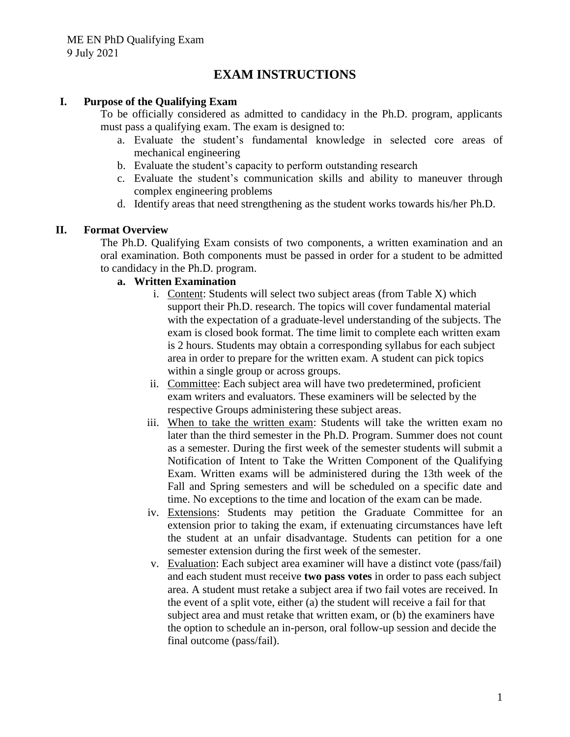# **EXAM INSTRUCTIONS**

### **I. Purpose of the Qualifying Exam**

To be officially considered as admitted to candidacy in the Ph.D. program, applicants must pass a qualifying exam. The exam is designed to:

- a. Evaluate the student's fundamental knowledge in selected core areas of mechanical engineering
- b. Evaluate the student's capacity to perform outstanding research
- c. Evaluate the student's communication skills and ability to maneuver through complex engineering problems
- d. Identify areas that need strengthening as the student works towards his/her Ph.D.

### **II. Format Overview**

The Ph.D. Qualifying Exam consists of two components, a written examination and an oral examination. Both components must be passed in order for a student to be admitted to candidacy in the Ph.D. program.

### **a. Written Examination**

- i. Content: Students will select two subject areas (from Table X) which support their Ph.D. research. The topics will cover fundamental material with the expectation of a graduate-level understanding of the subjects. The exam is closed book format. The time limit to complete each written exam is 2 hours. Students may obtain a corresponding syllabus for each subject area in order to prepare for the written exam. A student can pick topics within a single group or across groups.
- ii. Committee: Each subject area will have two predetermined, proficient exam writers and evaluators. These examiners will be selected by the respective Groups administering these subject areas.
- iii. When to take the written exam: Students will take the written exam no later than the third semester in the Ph.D. Program. Summer does not count as a semester. During the first week of the semester students will submit a Notification of Intent to Take the Written Component of the Qualifying Exam. Written exams will be administered during the 13th week of the Fall and Spring semesters and will be scheduled on a specific date and time. No exceptions to the time and location of the exam can be made.
- iv. Extensions: Students may petition the Graduate Committee for an extension prior to taking the exam, if extenuating circumstances have left the student at an unfair disadvantage. Students can petition for a one semester extension during the first week of the semester.
- v. Evaluation: Each subject area examiner will have a distinct vote (pass/fail) and each student must receive **two pass votes** in order to pass each subject area. A student must retake a subject area if two fail votes are received. In the event of a split vote, either (a) the student will receive a fail for that subject area and must retake that written exam, or (b) the examiners have the option to schedule an in-person, oral follow-up session and decide the final outcome (pass/fail).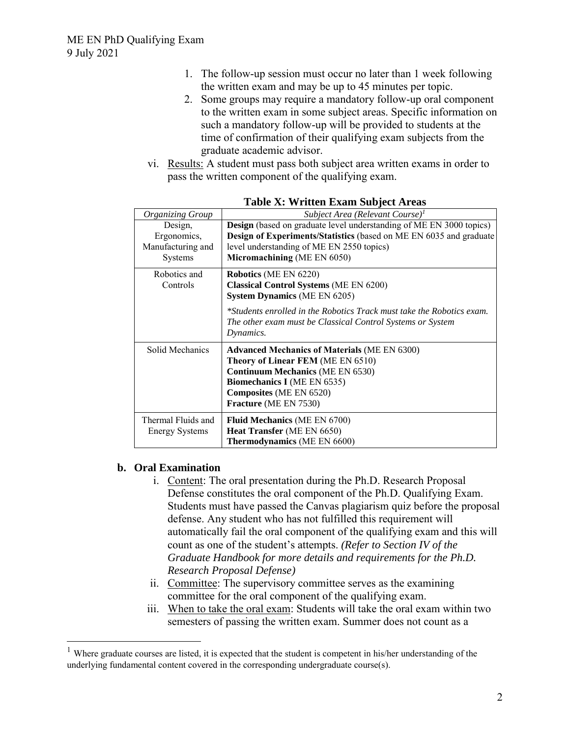- 1. The follow-up session must occur no later than 1 week following the written exam and may be up to 45 minutes per topic.
- 2. Some groups may require a mandatory follow-up oral component to the written exam in some subject areas. Specific information on such a mandatory follow-up will be provided to students at the time of confirmation of their qualifying exam subjects from the graduate academic advisor.
- vi. Results: A student must pass both subject area written exams in order to pass the written component of the qualifying exam.

| <b>Organizing Group</b> | Subject Area (Relevant Course) <sup>1</sup>                                                                                                      |
|-------------------------|--------------------------------------------------------------------------------------------------------------------------------------------------|
| Design,                 | <b>Design</b> (based on graduate level understanding of ME EN 3000 topics)                                                                       |
| Ergonomics,             | Design of Experiments/Statistics (based on ME EN 6035 and graduate                                                                               |
| Manufacturing and       | level understanding of ME EN 2550 topics)                                                                                                        |
| Systems                 | Micromachining (ME EN 6050)                                                                                                                      |
| Robotics and            | <b>Robotics</b> (ME EN 6220)                                                                                                                     |
| Controls                | <b>Classical Control Systems (ME EN 6200)</b>                                                                                                    |
|                         | <b>System Dynamics</b> (ME EN 6205)                                                                                                              |
|                         | *Students enrolled in the Robotics Track must take the Robotics exam.<br>The other exam must be Classical Control Systems or System<br>Dynamics. |
| Solid Mechanics         | <b>Advanced Mechanics of Materials (ME EN 6300)</b>                                                                                              |
|                         | Theory of Linear FEM (ME EN 6510)                                                                                                                |
|                         | <b>Continuum Mechanics</b> (ME EN 6530)                                                                                                          |
|                         | <b>Biomechanics I</b> (ME EN 6535)                                                                                                               |
|                         | Composites (ME EN 6520)                                                                                                                          |
|                         | <b>Fracture</b> (ME EN 7530)                                                                                                                     |
| Thermal Fluids and      | <b>Fluid Mechanics (ME EN 6700)</b>                                                                                                              |
| <b>Energy Systems</b>   | Heat Transfer (ME EN 6650)                                                                                                                       |
|                         | <b>Thermodynamics</b> (ME EN 6600)                                                                                                               |

**Table X: Written Exam Subject Areas**

## **b. Oral Examination**

- i. Content: The oral presentation during the Ph.D. Research Proposal Defense constitutes the oral component of the Ph.D. Qualifying Exam. Students must have passed the Canvas plagiarism quiz before the proposal defense. Any student who has not fulfilled this requirement will automatically fail the oral component of the qualifying exam and this will count as one of the student's attempts. *(Refer to Section IV of the Graduate Handbook for more details and requirements for the Ph.D. Research Proposal Defense)*
- ii. Committee: The supervisory committee serves as the examining committee for the oral component of the qualifying exam.
- iii. When to take the oral exam: Students will take the oral exam within two semesters of passing the written exam. Summer does not count as a

<sup>&</sup>lt;sup>1</sup> Where graduate courses are listed, it is expected that the student is competent in his/her understanding of the underlying fundamental content covered in the corresponding undergraduate course(s).